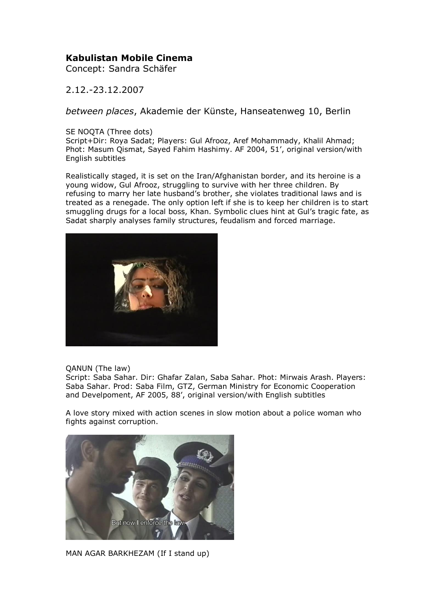## **Kabulistan Mobile Cinema**

Concept: Sandra Schäfer

2.12.-23.12.2007

*between places*, Akademie der Künste, Hanseatenweg 10, Berlin

SE NOQTA (Three dots)

Script+Dir: Roya Sadat; Players: Gul Afrooz, Aref Mohammady, Khalil Ahmad; Phot: Masum Qismat, Sayed Fahim Hashimy. AF 2004, 51', original version/with English subtitles

Realistically staged, it is set on the Iran/Afghanistan border, and its heroine is a young widow, Gul Afrooz, struggling to survive with her three children. By refusing to marry her late husband's brother, she violates traditional laws and is treated as a renegade. The only option left if she is to keep her children is to start smuggling drugs for a local boss, Khan. Symbolic clues hint at Gul's tragic fate, as Sadat sharply analyses family structures, feudalism and forced marriage.



QANUN (The law)

Script: Saba Sahar. Dir: Ghafar Zalan, Saba Sahar. Phot: Mirwais Arash. Players: Saba Sahar. Prod: Saba Film, GTZ, German Ministry for Economic Cooperation and Develpoment, AF 2005, 88', original version/with English subtitles

A love story mixed with action scenes in slow motion about a police woman who fights against corruption.



MAN AGAR BARKHEZAM (If I stand up)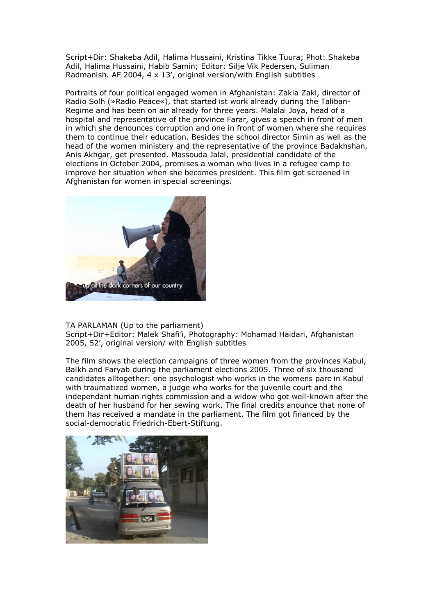Script+Dir: Shakeba Adil, Halima Hussaini, Kristina Tikke Tuura; Phot: Shakeba Adil, Halima Hussaini, Habib Samin; Editor: Silje Vik Pedersen, Suliman Radmanish. AF 2004, 4 x 13', original version/with English subtitles

Portraits of four political engaged women in Afghanistan: Zakia Zaki, director of Radio Solh (»Radio Peace«), that started ist work already during the Taliban-Regime and has been on air already for three years. Malalai Joya, head of a hospital and representative of the province Farar, gives a speech in front of men in which she denounces corruption and one in front of women where she requires them to continue their education. Besides the school director Simin as well as the head of the women ministery and the representative of the province Badakhshan, Anis Akhgar, get presented. Massouda Jalal, presidential candidate of the elections in October 2004, promises a woman who lives in a refugee camp to improve her situation when she becomes president. This film got screened in Afghanistan for women in special screenings.



TA PARLAMAN (Up to the parliament) Script+Dir+Editor: Malek Shafi'i, Photography: Mohamad Haidari, Afghanistan 2005, 52', original version/ with English subtitles

The film shows the election campaigns of three women from the provinces Kabul, Balkh and Faryab during the parliament elections 2005. Three of six thousand candidates alltogether: one psychologist who works in the womens parc in Kabul with traumatized women, a judge who works for the juvenile court and the independant human rights commission and a widow who got well-known after the death of her husband for her sewing work. The final credits anounce that none of them has received a mandate in the parliament. The film got financed by the social-democratic Friedrich-Ebert-Stiftung.

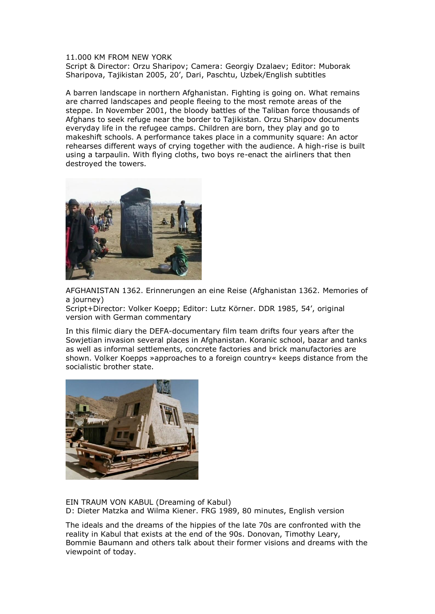## 11.000 KM FROM NEW YORK

Script & Director: Orzu Sharipov; Camera: Georgiy Dzalaev; Editor: Muborak Sharipova, Tajikistan 2005, 20', Dari, Paschtu, Uzbek/English subtitles

A barren landscape in northern Afghanistan. Fighting is going on. What remains are charred landscapes and people fleeing to the most remote areas of the steppe. In November 2001, the bloody battles of the Taliban force thousands of Afghans to seek refuge near the border to Tajikistan. Orzu Sharipov documents everyday life in the refugee camps. Children are born, they play and go to makeshift schools. A performance takes place in a community square: An actor rehearses different ways of crying together with the audience. A high-rise is built using a tarpaulin. With flying cloths, two boys re-enact the airliners that then destroyed the towers.



AFGHANISTAN 1362. Erinnerungen an eine Reise (Afghanistan 1362. Memories of a journey)

Script+Director: Volker Koepp; Editor: Lutz Körner. DDR 1985, 54', original version with German commentary

In this filmic diary the DEFA-documentary film team drifts four years after the Sowjetian invasion several places in Afghanistan. Koranic school, bazar and tanks as well as informal settlements, concrete factories and brick manufactories are shown. Volker Koepps »approaches to a foreign country« keeps distance from the socialistic brother state.



EIN TRAUM VON KABUL (Dreaming of Kabul) D: Dieter Matzka and Wilma Kiener. FRG 1989, 80 minutes, English version

The ideals and the dreams of the hippies of the late 70s are confronted with the reality in Kabul that exists at the end of the 90s. Donovan, Timothy Leary, Bommie Baumann and others talk about their former visions and dreams with the viewpoint of today.